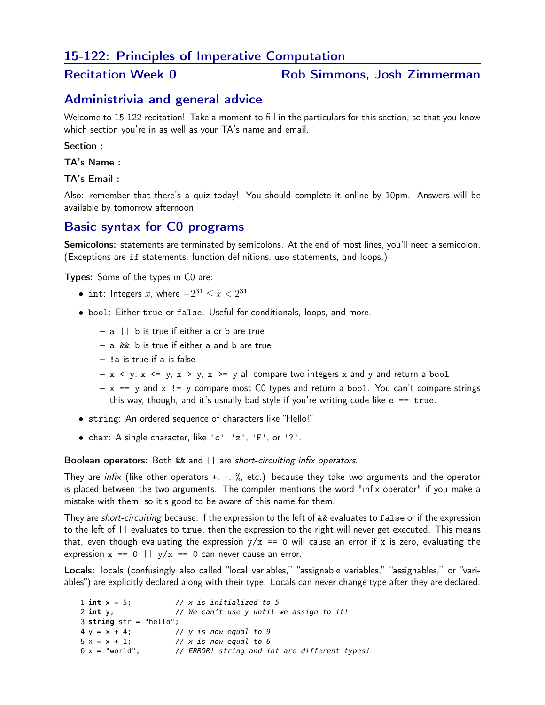# 15-122: Principles of Imperative Computation

#### Recitation Week 0 Rob Simmons, Josh Zimmerman

### Administrivia and general advice

Welcome to 15-122 recitation! Take a moment to fill in the particulars for this section, so that you know which section you're in as well as your TA's name and email.

#### Section :

TA's Name :

TA's Email :

Also: remember that there's a quiz today! You should complete it online by 10pm. Answers will be available by tomorrow afternoon.

# Basic syntax for C0 programs

Semicolons: statements are terminated by semicolons. At the end of most lines, you'll need a semicolon. (Exceptions are if statements, function definitions, use statements, and loops.)

Types: Some of the types in C0 are:

- int: Integers *x*, where  $-2^{31} < x < 2^{31}$ .
- bool: Either true or false. Useful for conditionals, loops, and more.
	- a || b is true if either a or b are true
	- a && b is true if either a and b are true
	- !a is true if a is false
	- $x < y$ ,  $x \le y$ ,  $x > y$ ,  $x \ge y$  all compare two integers x and y and return a bool
	- $x == y$  and  $x != y$  compare most C0 types and return a bool. You can't compare strings this way, though, and it's usually bad style if you're writing code like  $e = = true$ .
- string: An ordered sequence of characters like "Hello!"
- char: A single character, like 'c', 'z', 'F', or '?'.

Boolean operators: Both && and || are *short-circuiting infix operators*.

They are *infix* (like other operators +, -, %, etc.) because they take two arguments and the operator is placed between the two arguments. The compiler mentions the word "infix operator" if you make a mistake with them, so it's good to be aware of this name for them.

They are *short-circuiting* because, if the expression to the left of && evaluates to false or if the expression to the left of || evaluates to true, then the expression to the right will never get executed. This means that, even though evaluating the expression  $y/x == 0$  will cause an error if x is zero, evaluating the expression  $x = 0 \mid |y/x| = 0$  can never cause an error.

Locals: locals (confusingly also called "local variables," "assignable variables," "assignables," or "variables") are explicitly declared along with their type. Locals can never change type after they are declared.

```
1 int x = 5; // x is initialized to 5
                    2 int y; // We can't use y until we assign to it!
3 string str = "hello";
4 y = x + 4; // y is now equal to 9
5 x = x + 1; // x is now equal to 6
6 x = "world"; // ERROR! string and int are different types!
```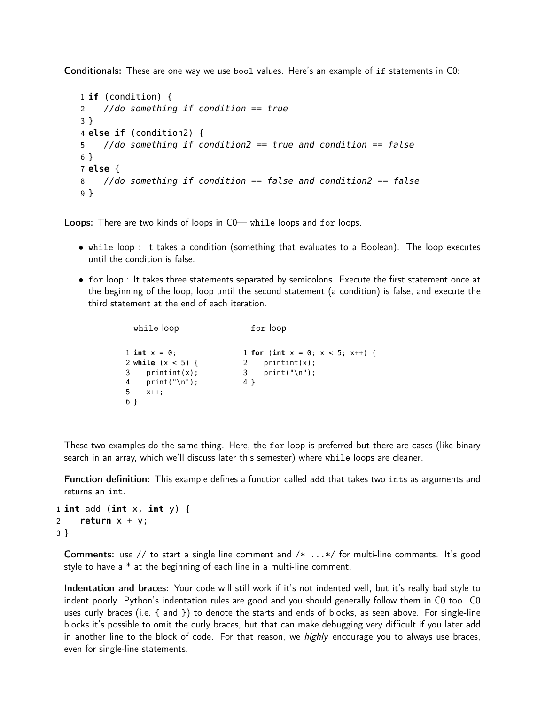Conditionals: These are one way we use bool values. Here's an example of if statements in C0:

```
1 if (condition) {
2 //do something if condition == true
3 }
4 else if (condition2) {
5 //do something if condition2 == true and condition == false
6 }
7 else {
8 //do something if condition == false and condition2 == false
9 }
```
Loops: There are two kinds of loops in  $CO$ — while loops and for loops.

- while loop : It takes a condition (something that evaluates to a Boolean). The loop executes until the condition is false.
- for loop : It takes three statements separated by semicolons. Execute the first statement once at the beginning of the loop, loop until the second statement (a condition) is false, and execute the third statement at the end of each iteration.

| while loop                                                                                      | for loop                                                                                  |
|-------------------------------------------------------------------------------------------------|-------------------------------------------------------------------------------------------|
| 1 int $x = 0$ ;<br>2 while $(x < 5)$ {<br>$3$ printint(x);<br>$4$ print("\n");<br>-5<br>$X++$ : | 1 for (int $x = 0$ ; $x < 5$ ; $x++$ ) {<br>$print(int(x))$ ;<br>print("\n");<br>3<br>4 } |
| 6 }                                                                                             |                                                                                           |

These two examples do the same thing. Here, the for loop is preferred but there are cases (like binary search in an array, which we'll discuss later this semester) where while loops are cleaner.

Function definition: This example defines a function called add that takes two ints as arguments and returns an int.

```
1 int add (int x, int y) {
2 return x + y;
3 }
```
Comments: use // to start a single line comment and /\* ...\*/ for multi-line comments. It's good style to have a \* at the beginning of each line in a multi-line comment.

Indentation and braces: Your code will still work if it's not indented well, but it's really bad style to indent poorly. Python's indentation rules are good and you should generally follow them in C0 too. C0 uses curly braces (i.e. { and }) to denote the starts and ends of blocks, as seen above. For single-line blocks it's possible to omit the curly braces, but that can make debugging very difficult if you later add in another line to the block of code. For that reason, we *highly* encourage you to always use braces, even for single-line statements.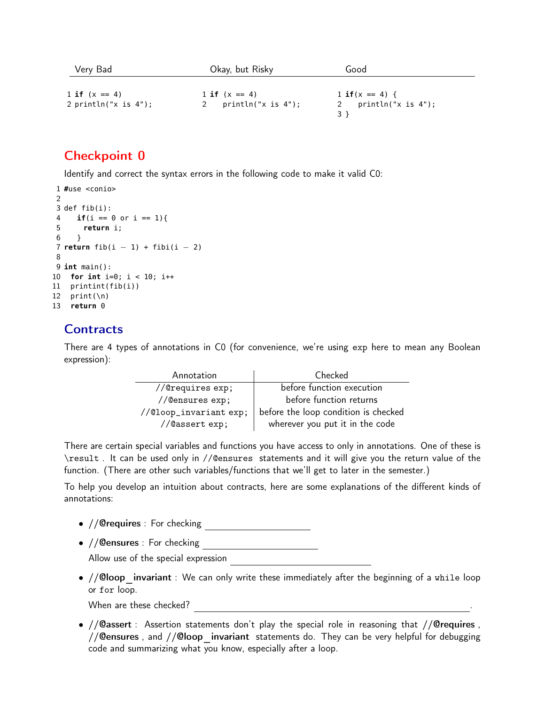| Very Bad                | Okay, but Risky       | Good               |
|-------------------------|-----------------------|--------------------|
| 1 if $(x == 4)$         | 1 if $(x == 4)$       | 1 if $(x == 4)$ {  |
| 2 println("x is $4$ "); | $println("x is 4")$ ; | println("x is 4"); |

# Checkpoint 0

Identify and correct the syntax errors in the following code to make it valid C0:

```
1 #use <conio>
\mathcal{D}3 def fib(i):
4 if(i == \theta or i == 1){
5 return i;
6 }
7 return fib(i - 1) + fib(i - 2)8
9 int main():
10 for int i=0; i < 10; i++
11 printint(fib(i))
12 print(\n)13 return 0
```
# **Contracts**

There are 4 types of annotations in C0 (for convenience, we're using exp here to mean any Boolean expression):

| Annotation             | Checked                              |
|------------------------|--------------------------------------|
| //@requires exp;       | before function execution            |
| //@ensures exp;        | before function returns              |
| //@loop_invariant exp; | before the loop condition is checked |
| //@assert exp;         | wherever you put it in the code      |

There are certain special variables and functions you have access to only in annotations. One of these is \result . It can be used only in //@ensures statements and it will give you the return value of the function. (There are other such variables/functions that we'll get to later in the semester.)

To help you develop an intuition about contracts, here are some explanations of the different kinds of annotations:

- //@requires : For checking
- //@ensures : For checking

Allow use of the special expression

•  $// **Qloop**$  invariant : We can only write these immediately after the beginning of a while loop or for loop.

When are these checked?

• //@assert : Assertion statements don't play the special role in reasoning that //@requires , // Censures, and // Cloop invariant statements do. They can be very helpful for debugging code and summarizing what you know, especially after a loop.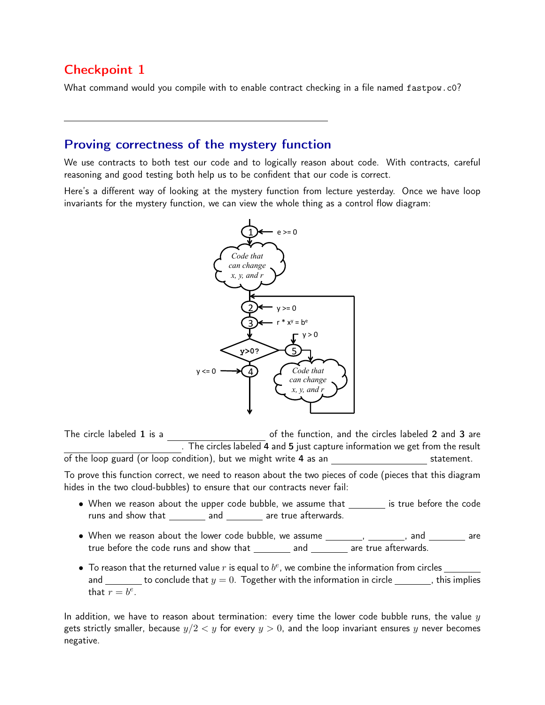# Checkpoint 1

What command would you compile with to enable contract checking in a file named fastpow.c0?

# Proving correctness of the mystery function

We use contracts to both test our code and to logically reason about code. With contracts, careful reasoning and good testing both help us to be confident that our code is correct.

Here's a different way of looking at the mystery function from lecture yesterday. Once we have loop invariants for the mystery function, we can view the whole thing as a control flow diagram:



The circle labeled  ${\bf 1}$  is a  $\hskip1cm \hbox{of the function, and the circles labeled $\bf 2$ and $\bf 3$ are}$ . The circles labeled **4** and  ${\bf 5}$  just capture information we get from the result of the loop guard (or loop condition), but we might write 4 as an statement. To prove this function correct, we need to reason about the two pieces of code (pieces that this diagram

hides in the two cloud-bubbles) to ensure that our contracts never fail:

- When we reason about the upper code bubble, we assume that \_\_\_\_\_\_\_\_ is true before the code runs and show that \_\_\_\_\_\_\_\_\_ and \_\_\_\_\_\_\_\_ are true afterwards.
- true before the code runs and show that  $\_\_\_\_$  and  $\_\_\_\_\_$  are true afterwards.  $\bullet$  When we reason about the lower code bubble, we assume  $\_\_\_\_\_\_\_$ ,  $\_\_\_\_\_$  and  $\_\_\_\_\_\_$  are
- To reason that the returned value *r* is equal to *be*, we combine the information from circles and  $\frac{1}{\sqrt{1-\frac{1}{\sqrt{1-\frac{1}{\sqrt{1-\frac{1}{\sqrt{1-\frac{1}{\sqrt{1-\frac{1}{\sqrt{1-\frac{1}{\sqrt{1-\frac{1}{\sqrt{1-\frac{1}{\sqrt{1-\frac{1}{\sqrt{1-\frac{1}{\sqrt{1-\frac{1}{\sqrt{1-\frac{1}{\sqrt{1-\frac{1}{\sqrt{1-\frac{1}{\sqrt{1-\frac{1}{\sqrt{1-\frac{1}{\sqrt{1-\frac{1}{\sqrt{1-\frac{1}{\sqrt{1-\frac{1}{\sqrt{1-\frac{1}{\sqrt{1-\frac{1}{\sqrt{1-\frac{1}{\sqrt{1-\frac{1}{\sqrt{1$ that  $r = b^e$ .

In addition, we have to reason about termination: every time the lower code bubble runs, the value *y* gets strictly smaller, because  $y/2 < y$  for every  $y > 0$ , and the loop invariant ensures y never becomes negative.